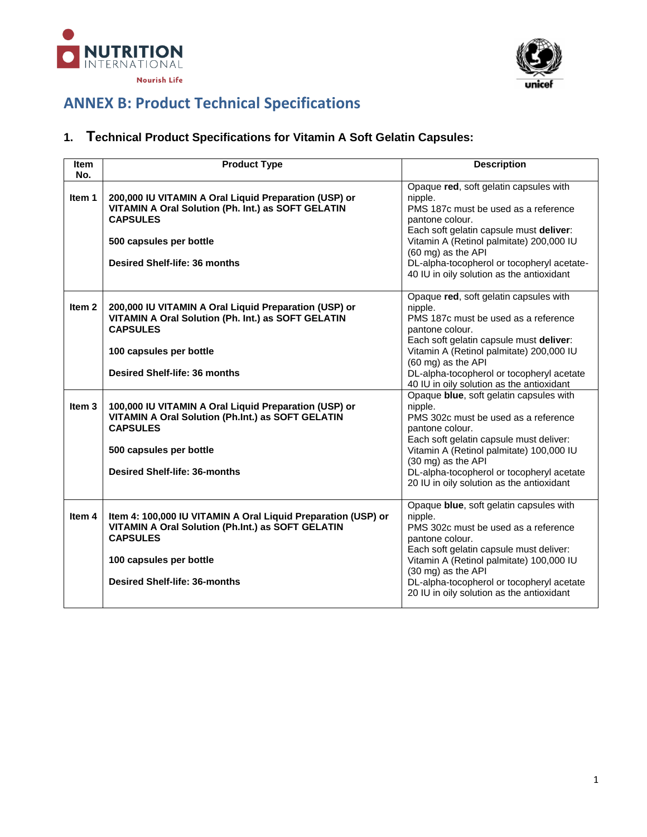



# **ANNEX B: Product Technical Specifications**

# **1. Technical Product Specifications for Vitamin A Soft Gelatin Capsules:**

| <b>Item</b><br>No. | <b>Product Type</b>                                                                                                                                                                                      | <b>Description</b>                                                                                                                                                                                                                                                                                                   |
|--------------------|----------------------------------------------------------------------------------------------------------------------------------------------------------------------------------------------------------|----------------------------------------------------------------------------------------------------------------------------------------------------------------------------------------------------------------------------------------------------------------------------------------------------------------------|
| Item 1             | 200,000 IU VITAMIN A Oral Liquid Preparation (USP) or<br>VITAMIN A Oral Solution (Ph. Int.) as SOFT GELATIN<br><b>CAPSULES</b><br>500 capsules per bottle<br>Desired Shelf-life: 36 months               | Opaque red, soft gelatin capsules with<br>nipple.<br>PMS 187c must be used as a reference<br>pantone colour.<br>Each soft gelatin capsule must deliver:<br>Vitamin A (Retinol palmitate) 200,000 IU<br>(60 mg) as the API<br>DL-alpha-tocopherol or tocopheryl acetate-<br>40 IU in oily solution as the antioxidant |
| Item <sub>2</sub>  | 200,000 IU VITAMIN A Oral Liquid Preparation (USP) or<br>VITAMIN A Oral Solution (Ph. Int.) as SOFT GELATIN<br><b>CAPSULES</b><br>100 capsules per bottle<br>Desired Shelf-life: 36 months               | Opaque red, soft gelatin capsules with<br>nipple.<br>PMS 187c must be used as a reference<br>pantone colour.<br>Each soft gelatin capsule must deliver:<br>Vitamin A (Retinol palmitate) 200,000 IU<br>(60 mg) as the API<br>DL-alpha-tocopherol or tocopheryl acetate<br>40 IU in oily solution as the antioxidant  |
| Item <sub>3</sub>  | 100,000 IU VITAMIN A Oral Liquid Preparation (USP) or<br>VITAMIN A Oral Solution (Ph.Int.) as SOFT GELATIN<br><b>CAPSULES</b><br>500 capsules per bottle<br><b>Desired Shelf-life: 36-months</b>         | Opaque blue, soft gelatin capsules with<br>nipple.<br>PMS 302c must be used as a reference<br>pantone colour.<br>Each soft gelatin capsule must deliver:<br>Vitamin A (Retinol palmitate) 100,000 IU<br>(30 mg) as the API<br>DL-alpha-tocopherol or tocopheryl acetate<br>20 IU in oily solution as the antioxidant |
| Item 4             | Item 4: 100,000 IU VITAMIN A Oral Liquid Preparation (USP) or<br>VITAMIN A Oral Solution (Ph.Int.) as SOFT GELATIN<br><b>CAPSULES</b><br>100 capsules per bottle<br><b>Desired Shelf-life: 36-months</b> | Opaque blue, soft gelatin capsules with<br>nipple.<br>PMS 302c must be used as a reference<br>pantone colour.<br>Each soft gelatin capsule must deliver:<br>Vitamin A (Retinol palmitate) 100,000 IU<br>(30 mg) as the API<br>DL-alpha-tocopherol or tocopheryl acetate<br>20 IU in oily solution as the antioxidant |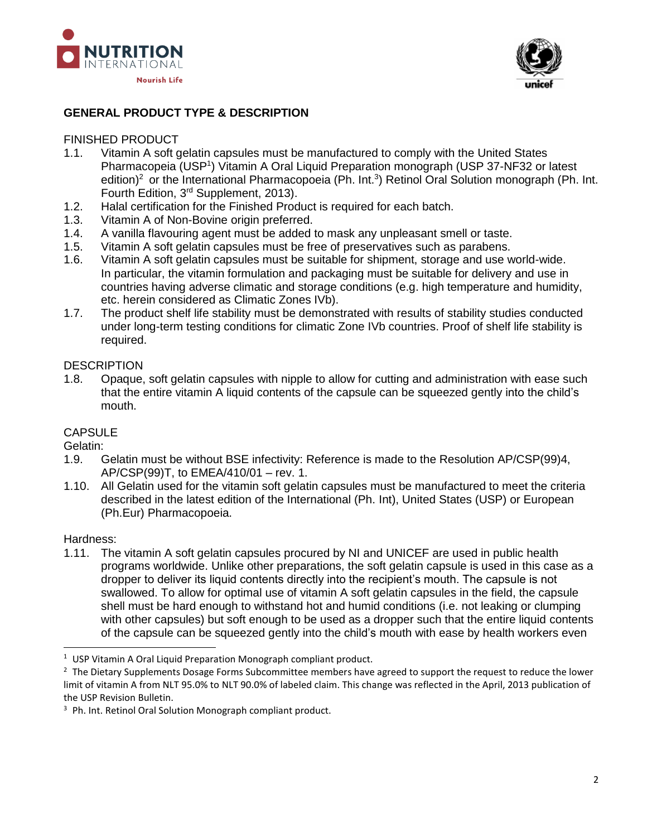



## **GENERAL PRODUCT TYPE & DESCRIPTION**

#### FINISHED PRODUCT

- 1.1. Vitamin A soft gelatin capsules must be manufactured to comply with the United States Pharmacopeia (USP<sup>1</sup>) Vitamin A Oral Liquid Preparation monograph (USP 37-NF32 or latest edition)<sup>2</sup> or the International Pharmacopoeia (Ph. Int.<sup>3</sup>) Retinol Oral Solution monograph (Ph. Int. Fourth Edition, 3rd Supplement, 2013).
- 1.2. Halal certification for the Finished Product is required for each batch.
- 1.3. Vitamin A of Non-Bovine origin preferred.
- 1.4. A vanilla flavouring agent must be added to mask any unpleasant smell or taste.
- 1.5. Vitamin A soft gelatin capsules must be free of preservatives such as parabens.
- 1.6. Vitamin A soft gelatin capsules must be suitable for shipment, storage and use world-wide. In particular, the vitamin formulation and packaging must be suitable for delivery and use in countries having adverse climatic and storage conditions (e.g. high temperature and humidity, etc. herein considered as Climatic Zones IVb).
- 1.7. The product shelf life stability must be demonstrated with results of stability studies conducted under long-term testing conditions for climatic Zone IVb countries. Proof of shelf life stability is required.

#### **DESCRIPTION**

1.8. Opaque, soft gelatin capsules with nipple to allow for cutting and administration with ease such that the entire vitamin A liquid contents of the capsule can be squeezed gently into the child's mouth.

### **CAPSULE**

Gelatin:

- 1.9. Gelatin must be without BSE infectivity: Reference is made to the Resolution AP/CSP(99)4, AP/CSP(99)T, to EMEA/410/01 – rev. 1.
- 1.10. All Gelatin used for the vitamin soft gelatin capsules must be manufactured to meet the criteria described in the latest edition of the International (Ph. Int), United States (USP) or European (Ph.Eur) Pharmacopoeia.

#### Hardness:

 $\overline{a}$ 

1.11. The vitamin A soft gelatin capsules procured by NI and UNICEF are used in public health programs worldwide. Unlike other preparations, the soft gelatin capsule is used in this case as a dropper to deliver its liquid contents directly into the recipient's mouth. The capsule is not swallowed. To allow for optimal use of vitamin A soft gelatin capsules in the field, the capsule shell must be hard enough to withstand hot and humid conditions (i.e. not leaking or clumping with other capsules) but soft enough to be used as a dropper such that the entire liquid contents of the capsule can be squeezed gently into the child's mouth with ease by health workers even

 $1$  USP Vitamin A Oral Liquid Preparation Monograph compliant product.

 $2$  The Dietary Supplements Dosage Forms Subcommittee members have agreed to support the request to reduce the lower limit of vitamin A from NLT 95.0% to NLT 90.0% of labeled claim. This change was reflected in the April, 2013 publication of the USP Revision Bulletin.

<sup>&</sup>lt;sup>3</sup> Ph. Int. Retinol Oral Solution Monograph compliant product.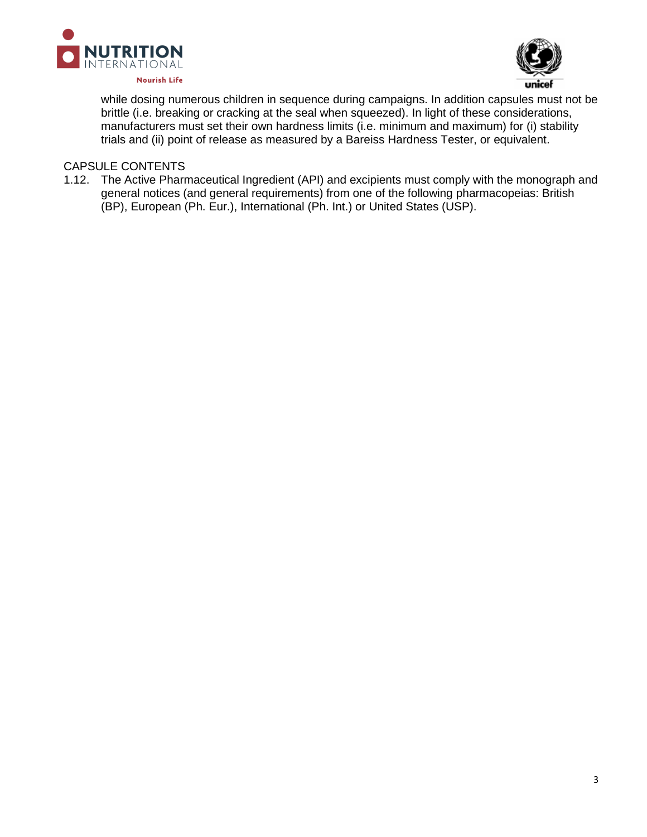



while dosing numerous children in sequence during campaigns. In addition capsules must not be brittle (i.e. breaking or cracking at the seal when squeezed). In light of these considerations, manufacturers must set their own hardness limits (i.e. minimum and maximum) for (i) stability trials and (ii) point of release as measured by a Bareiss Hardness Tester, or equivalent.

### CAPSULE CONTENTS

1.12. The Active Pharmaceutical Ingredient (API) and excipients must comply with the monograph and general notices (and general requirements) from one of the following pharmacopeias: British (BP), European (Ph. Eur.), International (Ph. Int.) or United States (USP).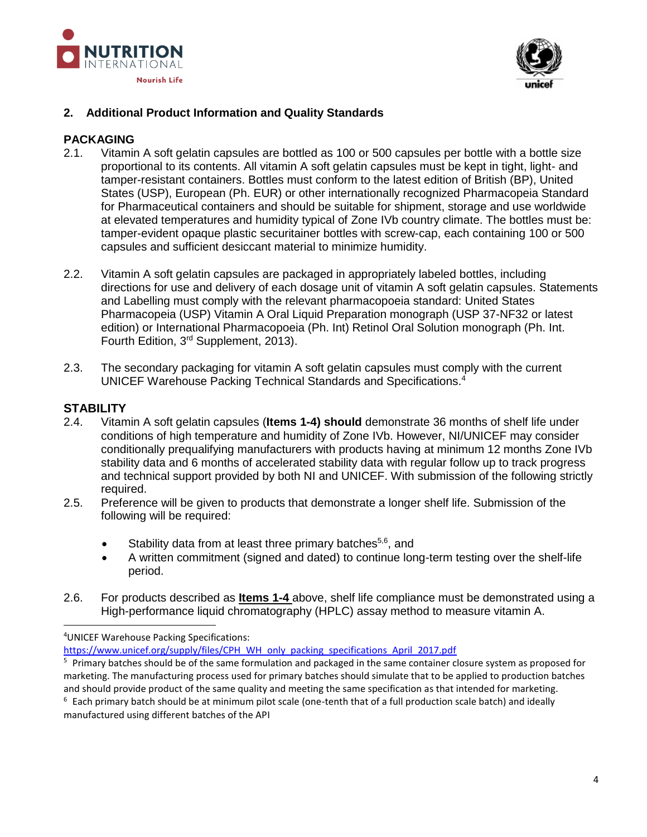



## **2. Additional Product Information and Quality Standards**

#### **PACKAGING**

- 2.1. Vitamin A soft gelatin capsules are bottled as 100 or 500 capsules per bottle with a bottle size proportional to its contents. All vitamin A soft gelatin capsules must be kept in tight, light- and tamper-resistant containers. Bottles must conform to the latest edition of British (BP), United States (USP), European (Ph. EUR) or other internationally recognized Pharmacopeia Standard for Pharmaceutical containers and should be suitable for shipment, storage and use worldwide at elevated temperatures and humidity typical of Zone IVb country climate. The bottles must be: tamper-evident opaque plastic securitainer bottles with screw-cap, each containing 100 or 500 capsules and sufficient desiccant material to minimize humidity.
- 2.2. Vitamin A soft gelatin capsules are packaged in appropriately labeled bottles, including directions for use and delivery of each dosage unit of vitamin A soft gelatin capsules. Statements and Labelling must comply with the relevant pharmacopoeia standard: United States Pharmacopeia (USP) Vitamin A Oral Liquid Preparation monograph (USP 37-NF32 or latest edition) or International Pharmacopoeia (Ph. Int) Retinol Oral Solution monograph (Ph. Int. Fourth Edition, 3<sup>rd</sup> Supplement, 2013).
- 2.3. The secondary packaging for vitamin A soft gelatin capsules must comply with the current UNICEF Warehouse Packing Technical Standards and Specifications.<sup>4</sup>

### **STABILITY**

 $\overline{a}$ 

- 2.4. Vitamin A soft gelatin capsules (**Items 1-4) should** demonstrate 36 months of shelf life under conditions of high temperature and humidity of Zone IVb. However, NI/UNICEF may consider conditionally prequalifying manufacturers with products having at minimum 12 months Zone IVb stability data and 6 months of accelerated stability data with regular follow up to track progress and technical support provided by both NI and UNICEF. With submission of the following strictly required.
- 2.5. Preference will be given to products that demonstrate a longer shelf life. Submission of the following will be required:
	- Stability data from at least three primary batches<sup>5,6</sup>, and
	- A written commitment (signed and dated) to continue long-term testing over the shelf-life period.
- 2.6. For products described as **Items 1-4** above, shelf life compliance must be demonstrated using a High-performance liquid chromatography (HPLC) assay method to measure vitamin A.

<sup>4</sup>UNICEF Warehouse Packing Specifications:

[https://www.unicef.org/supply/files/CPH\\_WH\\_only\\_packing\\_specifications\\_April\\_2017.pdf](https://www.unicef.org/supply/files/CPH_WH_only_packing_specifications_April_2017.pdf)

<sup>5</sup> Primary batches should be of the same formulation and packaged in the same container closure system as proposed for marketing. The manufacturing process used for primary batches should simulate that to be applied to production batches and should provide product of the same quality and meeting the same specification as that intended for marketing.

 $6$  Each primary batch should be at minimum pilot scale (one-tenth that of a full production scale batch) and ideally manufactured using different batches of the API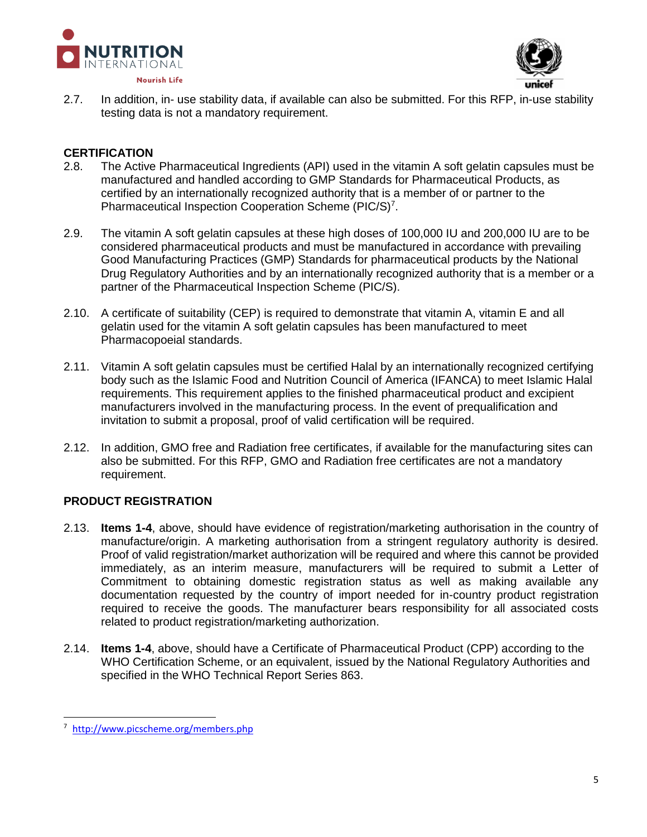



2.7. In addition, in- use stability data, if available can also be submitted. For this RFP, in-use stability testing data is not a mandatory requirement.

### **CERTIFICATION**

- 2.8. The Active Pharmaceutical Ingredients (API) used in the vitamin A soft gelatin capsules must be manufactured and handled according to GMP Standards for Pharmaceutical Products, as certified by an internationally recognized authority that is a member of or partner to the Pharmaceutical Inspection Cooperation Scheme (PIC/S)<sup>7</sup>.
- 2.9. The vitamin A soft gelatin capsules at these high doses of 100,000 IU and 200,000 IU are to be considered pharmaceutical products and must be manufactured in accordance with prevailing Good Manufacturing Practices (GMP) Standards for pharmaceutical products by the National Drug Regulatory Authorities and by an internationally recognized authority that is a member or a partner of the Pharmaceutical Inspection Scheme (PIC/S).
- 2.10. A certificate of suitability (CEP) is required to demonstrate that vitamin A, vitamin E and all gelatin used for the vitamin A soft gelatin capsules has been manufactured to meet Pharmacopoeial standards.
- 2.11. Vitamin A soft gelatin capsules must be certified Halal by an internationally recognized certifying body such as the Islamic Food and Nutrition Council of America (IFANCA) to meet Islamic Halal requirements. This requirement applies to the finished pharmaceutical product and excipient manufacturers involved in the manufacturing process. In the event of prequalification and invitation to submit a proposal, proof of valid certification will be required.
- 2.12. In addition, GMO free and Radiation free certificates, if available for the manufacturing sites can also be submitted. For this RFP, GMO and Radiation free certificates are not a mandatory requirement.

# **PRODUCT REGISTRATION**

- 2.13. **Items 1-4**, above, should have evidence of registration/marketing authorisation in the country of manufacture/origin. A marketing authorisation from a stringent regulatory authority is desired. Proof of valid registration/market authorization will be required and where this cannot be provided immediately, as an interim measure, manufacturers will be required to submit a Letter of Commitment to obtaining domestic registration status as well as making available any documentation requested by the country of import needed for in-country product registration required to receive the goods. The manufacturer bears responsibility for all associated costs related to product registration/marketing authorization.
- 2.14. **Items 1-4**, above, should have a Certificate of Pharmaceutical Product (CPP) according to the WHO Certification Scheme, or an equivalent, issued by the National Regulatory Authorities and specified in the WHO Technical Report Series 863.

 $\overline{a}$ 

<sup>7</sup> <http://www.picscheme.org/members.php>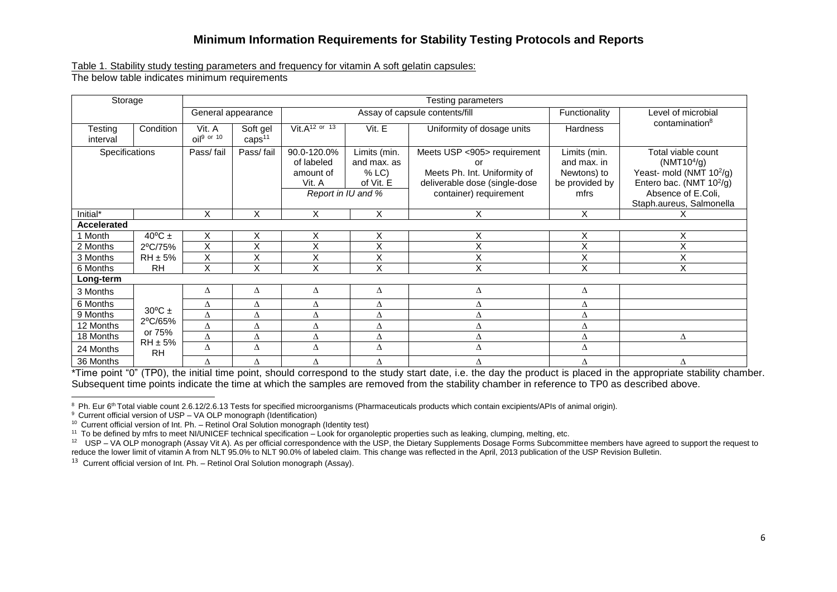# **Minimum Information Requirements for Stability Testing Protocols and Reports**

Table 1. Stability study testing parameters and frequency for vitamin A soft gelatin capsules:

The below table indicates minimum requirements

| Storage             |                           | <b>Testing parameters</b> |                                |                                                                        |                                                  |                                                                                                                        |                                                                      |                                                                                                                                                                                 |  |  |
|---------------------|---------------------------|---------------------------|--------------------------------|------------------------------------------------------------------------|--------------------------------------------------|------------------------------------------------------------------------------------------------------------------------|----------------------------------------------------------------------|---------------------------------------------------------------------------------------------------------------------------------------------------------------------------------|--|--|
|                     |                           | General appearance        |                                | Assay of capsule contents/fill                                         |                                                  | Functionality                                                                                                          | Level of microbial                                                   |                                                                                                                                                                                 |  |  |
| Testing<br>interval | Condition                 | Vit. A<br>$OII9$ or 10    | Soft gel<br>caps <sup>11</sup> | Vit. $A^{12}$ or 13                                                    | Vit. E                                           | Uniformity of dosage units                                                                                             | <b>Hardness</b>                                                      | contamination <sup>8</sup>                                                                                                                                                      |  |  |
| Specifications      |                           | Pass/fail                 | Pass/fail                      | 90.0-120.0%<br>of labeled<br>amount of<br>Vit. A<br>Report in IU and % | Limits (min.<br>and max. as<br>% LC<br>of Vit. E | Meets USP <905> requirement<br>Meets Ph. Int. Uniformity of<br>deliverable dose (single-dose<br>container) requirement | Limits (min.<br>and max. in<br>Newtons) to<br>be provided by<br>mfrs | Total viable count<br>(NMT10 <sup>4</sup> /g)<br>Yeast- mold (NMT 10 <sup>2</sup> /g)<br>Entero bac. (NMT 10 <sup>2</sup> /g)<br>Absence of E.Coli,<br>Staph.aureus, Salmonella |  |  |
| Initial*            |                           | X                         | X                              | X                                                                      | X                                                | Χ                                                                                                                      | X                                                                    |                                                                                                                                                                                 |  |  |
| Accelerated         |                           |                           |                                |                                                                        |                                                  |                                                                                                                        |                                                                      |                                                                                                                                                                                 |  |  |
| 1 Month             | 40 $\rm{^{\circ}C}$ ±     | Χ                         | X                              | X                                                                      | X                                                | Χ                                                                                                                      | $\mathsf X$                                                          | X                                                                                                                                                                               |  |  |
| 2 Months            | 2°C/75%                   | X                         | X                              | X                                                                      | Χ                                                | $\checkmark$<br>⋏                                                                                                      | X                                                                    | Χ                                                                                                                                                                               |  |  |
| 3 Months            | $RH \pm 5\%$              | Χ                         | Χ                              | Χ                                                                      | Χ                                                | $\checkmark$<br>⋏                                                                                                      | Χ                                                                    | Χ                                                                                                                                                                               |  |  |
| 6 Months            | <b>RH</b>                 | X                         | $\overline{x}$                 | $\overline{\mathsf{x}}$                                                | $\overline{\mathsf{x}}$                          | X                                                                                                                      | X                                                                    | $\overline{\mathsf{x}}$                                                                                                                                                         |  |  |
| Long-term           |                           |                           |                                |                                                                        |                                                  |                                                                                                                        |                                                                      |                                                                                                                                                                                 |  |  |
| 3 Months            |                           | Δ                         | Δ                              | Δ                                                                      | Δ                                                | Δ                                                                                                                      | Δ                                                                    |                                                                                                                                                                                 |  |  |
| 6 Months            |                           | Δ                         | Δ                              | Δ                                                                      | Δ                                                | Δ                                                                                                                      | Δ                                                                    |                                                                                                                                                                                 |  |  |
| 9 Months            | $30^{\circ}$ C ±          | Δ                         | Δ                              | Δ                                                                      | Δ                                                |                                                                                                                        | Δ                                                                    |                                                                                                                                                                                 |  |  |
| 12 Months           | 2°C/65%                   | Δ                         | Δ                              | Δ                                                                      | Δ                                                |                                                                                                                        | Δ                                                                    |                                                                                                                                                                                 |  |  |
| 18 Months           | or 75%                    | Δ                         | Δ                              | Δ                                                                      | Δ                                                |                                                                                                                        | Δ                                                                    | Δ                                                                                                                                                                               |  |  |
| 24 Months           | $RH \pm 5\%$<br><b>RH</b> | Δ                         | Δ                              | Δ                                                                      | Δ                                                | Δ                                                                                                                      | Δ                                                                    |                                                                                                                                                                                 |  |  |
| 36 Months           |                           | Δ                         | Δ                              | Δ                                                                      | Δ                                                | Δ                                                                                                                      | Δ                                                                    | Δ                                                                                                                                                                               |  |  |

\*Time point "0" (TP0), the initial time point, should correspond to the study start date, i.e. the day the product is placed in the appropriate stability chamber. Subsequent time points indicate the time at which the samples are removed from the stability chamber in reference to TP0 as described above.

 $\overline{a}$ <sup>8</sup> Ph. Eur 6<sup>th</sup> Total viable count 2.6.12/2.6.13 Tests for specified microorganisms (Pharmaceuticals products which contain excipients/APIs of animal origin).

<sup>9</sup> Current official version of USP – VA OLP monograph (Identification)

 $10$  Current official version of Int. Ph. – Retinol Oral Solution monograph (Identity test)

<sup>11</sup> To be defined by mfrs to meet NI/UNICEF technical specification – Look for organoleptic properties such as leaking, clumping, melting, etc.<br><sup>12</sup> USP – VA OLP monograph (Assay Vit A). As per official correspondence wit reduce the lower limit of vitamin A from NLT 95.0% to NLT 90.0% of labeled claim. This change was reflected in the April, 2013 publication of the USP Revision Bulletin.

 $13$  Current official version of Int. Ph. – Retinol Oral Solution monograph (Assay).